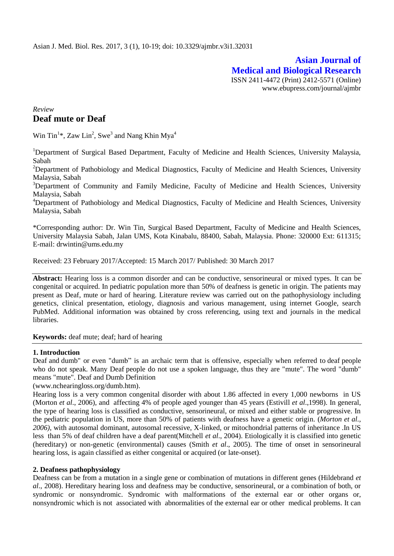# **Asian Journal of Medical and Biological Research** ISSN 2411-4472 (Print) 2412-5571 (Online) www.ebupress.com/journal/ajmbr

# *Review* **Deaf mute or Deaf**

Win Tin<sup>1</sup>\*, Zaw Lin<sup>2</sup>, Swe<sup>3</sup> and Nang Khin Mya<sup>4</sup>

<sup>1</sup>Department of Surgical Based Department, Faculty of Medicine and Health Sciences, University Malaysia, Sabah

<sup>2</sup>Department of Pathobiology and Medical Diagnostics, Faculty of Medicine and Health Sciences, University Malaysia, Sabah

<sup>3</sup>Department of Community and Family Medicine, Faculty of Medicine and Health Sciences, University Malaysia, Sabah

<sup>4</sup>Department of Pathobiology and Medical Diagnostics, Faculty of Medicine and Health Sciences, University Malaysia, Sabah

\*Corresponding author: Dr. Win Tin, Surgical Based Department, Faculty of Medicine and Health Sciences, University Malaysia Sabah, Jalan UMS, Kota Kinabalu, 88400, Sabah, Malaysia. Phone: 320000 Ext: 611315; E-mail: [drwintin@ums.edu.my](mailto:drwintin@ums.edu.my)

Received: 23 February 2017/Accepted: 15 March 2017/ Published: 30 March 2017

**Abstract:** Hearing loss is a common disorder and can be conductive, sensorineural or mixed types. It can be congenital or acquired. In pediatric population more than 50% of deafness is genetic in origin. The patients may present as Deaf, mute or hard of hearing. Literature review was carried out on the pathophysiology including genetics, clinical presentation, etiology, diagnosis and various management, using internet Google, search PubMed. Additional information was obtained by cross referencing, using text and journals in the medical libraries.

**Keywords:** deaf mute; deaf; hard of hearing

#### **1. Introduction**

Deaf and dumb" or even "dumb" is an archaic term that is offensive, especially when referred to deaf people who do not speak. Many Deaf people do not use a spoken language, thus they are "mute". The word "dumb" means "mute". [Deaf and Dumb Definition](http://www.nchearingloss.org/dumb.htm)

[\(www.nchearingloss.org/dumb.htm\)](http://www.nchearingloss.org/dumb.htm).

Hearing loss is a very common congenital disorder with about 1.86 affected in every 1,000 newborns in US (Morton *et al*., 2006)*,* and affecting 4% of people aged younger than 45 years (Estivill *et al*.,1998). In general, the type of hearing loss is classified as conductive, sensorineural, or mixed and either stable or progressive. In the pediatric population in US, more than 50% of patients with deafness have a genetic origin. (*Morton et al., 2006)*, with autosomal dominant, autosomal recessive, X-linked, or mitochondrial patterns of inheritance .In US less than 5% of deaf children have a deaf parent(Mitchell *et al*., 2004). Etiologically it is classified into genetic (hereditary) or non-genetic (environmental) causes (Smith *et al*., 2005). The time of onset in sensorineural hearing loss, is again classified as either congenital or acquired (or late-onset).

#### **2. Deafness pathophysiology**

Deafness can be from a mutation in a single gene or combination of mutations in different genes (Hildebrand *et al*., 2008). Hereditary hearing loss and deafness may be conductive, sensorineural, or a combination of both, or syndromic or nonsyndromic. Syndromic with malformations of the external ear or other organs or, nonsyndromic which is not associated with abnormalities of the external ear or other medical problems. It can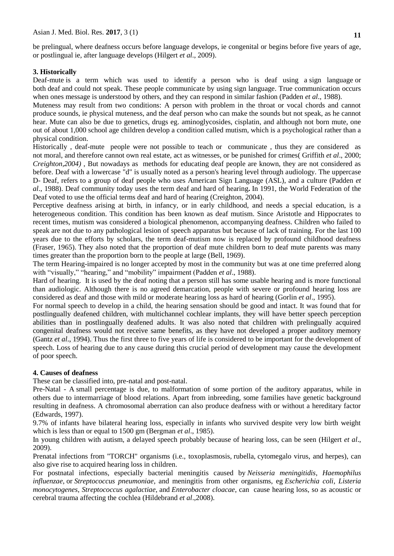be prelingual, where deafness occurs before language develops, ie congenital or begins before five years of age, or postlingual ie, after language develops [\(Hilgert](http://www.sciencedirect.com/science/article/pii/S138357420800135X) *et al*., 2009).

#### **3. Historically**

Deaf-mute is a term which was used to identify a person who is deaf using a [sign language](https://en.wikipedia.org/wiki/Sign_language) or both [deaf](https://en.wikipedia.org/wiki/Hearing_impairment) and [could not speak.](https://en.wikipedia.org/wiki/Muteness) These people communicate by using [sign language.](https://en.wikipedia.org/wiki/Sign_language) True communication occurs when ones message is understood by others, and they can respond in similar fashion (Padden *et al*., 1988).

Muteness may result from two conditions: A person with problem in the throat or vocal chords and cannot produce sounds, ie physical muteness, and the deaf person who can make the sounds but not speak, as he cannot hear. Mute can also be due to genetics, drugs eg. aminoglycosides, cisplatin, and although not born mute, one out of about 1,000 school age children develop a condition called mutism, which is a psychological rather than a physical condition.

Historically , deaf-mute people were not possible to teach or communicate , thus they are considered as not moral, and therefore cannot own [real estate,](https://en.wikipedia.org/wiki/Real_estate) act as [witnesses,](https://en.wikipedia.org/wiki/Witnesses) or be punished for crime[s\( Griffith](https://www.ncbi.nlm.nih.gov/pubmed/?term=Griffith%20AJ%5BAuthor%5D&cauthor=true&cauthor_uid=10903123) *et al*., 2000; *Creighton,2004)* , But nowadays as methods for educating deaf people are known, they are not considered as before. Deaf with a lowercase "d" is usually noted as a person's hearing level through audiology. The uppercase D- Deaf, refers to a group of deaf people who uses American Sign Language (ASL), and a culture (Padden *et al*., 1988). Deaf community today uses the term deaf and hard of hearing**.** In 1991, the World Federation of the Deaf voted to use the official terms deaf and hard of hearing (Creighton, 2004).

Perceptive deafness arising at birth, in infancy, or in early childhood, and needs a special education, is a heterogeneous condition. This condition has been known as deaf mutism. Since Aristotle and Hippocrates to recent times, mutism was considered a biological phenomenon, accompanying deafness. Children who failed to speak are not due to any pathological lesion of speech apparatus but because of lack of training. For the last 100 years due to the efforts by scholars, the term deaf-mutism now is replaced by profound childhood deafness (Fraser, 1965). They also noted that the proportion of deaf mute children born to deaf mute parents was many times greater than the proportion born to the people at large (Bell, 1969).

The term Hearing-impaired is no longer accepted by most in the community but was at one time preferred along with "visually," "hearing," and "mobility" impairment (Padden *et al.*, 1988).

Hard of hearing. It is used by the deaf noting that a person still has some usable hearing and is more functional than audiologic. Although there is no agreed demarcation, people with severe or profound hearing loss are considered as deaf and those with mild or moderate hearing loss as hard of hearing (Gorlin *et al*., 1995).

For normal speech to develop in a child, the hearing sensation should be good and intact. It was found that for postlingually deafened children, with multichannel cochlear implants, they will have better speech perception abilities than in postlingually deafened adults. It was also noted that children with prelingually acquired congenital deafness would not receive same benefits, as they have not developed a proper auditory memory (Gantz *et al*., 1994). Thus the first three to five years of life is considered to be important for the development of speech. Loss of hearing due to any cause during this crucial period of development may cause the development of poor speech.

### **4. Causes of deafness**

These can be classified into, pre-natal and post-natal.

Pre-Natal - A small percentage is due, to malformation of some portion of the auditory apparatus, while in others due to intermarriage of blood relations. Apart from inbreeding, some families have genetic background resulting in deafness. A chromosomal aberration can also produce deafness with or without a hereditary factor (Edwards, 1997).

9.7% of infants have bilateral hearing loss, especially in infants who survived despite very low birth weight which is less than or equal to 1500 gm (Bergman *et al*., 1985).

In young children with autism, a delayed speech probably because of hearing loss, can be seen (Hilgert *et al*., 2009).

Prenatal infections from "TORCH" organisms (i.e., toxoplasmosis, rubella, cytomegalo virus, and herpes), can also give rise to acquired hearing loss in children.

For postnatal infections, especially bacterial meningitis caused by *Neisseria meningitidis*, *Haemophilus influenzae*, or *Streptococcus pneumoniae*, and meningitis from other organisms, eg *Escherichia coli*, *Listeria monocytogenes*, *Streptococcus agalactiae*, and *Enterobacter cloacae*, can cause hearing loss, so as acoustic or cerebral trauma affecting the cochlea (Hildebrand *et al*.,2008).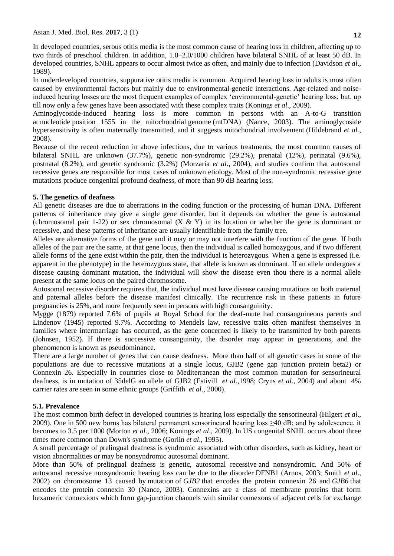In developed countries, serous otitis media is the most common cause of hearing loss in children, affecting up to two thirds of preschool children. In addition, 1.0–2.0/1000 children have bilateral SNHL of at least 50 dB. In developed countries, SNHL appears to occur almost twice as often, and mainly due to infection (Davidson *et al*., 1989).

In underdeveloped countries, suppurative otitis media is common. Acquired hearing loss in adults is most often caused by environmental factors but mainly due to environmental-genetic interactions. Age-related and noiseinduced hearing losses are the most frequent examples of complex 'environmental-genetic' hearing loss; but, up till now only a few genes have been associated with these complex traits (Konings *et al*., 2009).

Aminoglycoside-induced hearing loss is more common in persons with an A-to-G transition at [nucleotide](http://www.ncbi.nlm.nih.gov/books/n/gene/glossary/def-item/nucleotide/) position 1555 in the mitochondrial [genome](http://www.ncbi.nlm.nih.gov/books/n/gene/glossary/def-item/genome/) (mtDNA) (Nance, 2003). The aminoglycoside hypersensitivity is often maternally transmitted, and it suggests mitochondrial involvement (Hildebrand *et al*., 2008).

Because of the recent reduction in above infections, due to various treatments, the most common causes of bilateral SNHL are unknown (37.7%), genetic non-syndromic (29.2%), prenatal (12%), perinatal (9.6%), postnatal (8.2%), and genetic syndromic (3.2%) (Morzaria *et al*., 2004), and studies confirm that autosomal recessive genes are responsible for most cases of unknown etiology. Most of the non-syndromic recessive gene mutations produce congenital profound deafness, of more than 90 dB hearing loss.

## **5. The genetics of deafness**

All genetic diseases are due to aberrations in the coding function or the processing of human DNA. Different patterns of inheritance may give a single gene disorder, but it depends on whether the gene is autosomal (chromosomal pair 1-22) or sex chromosomal  $(X & Y)$  in its location or whether the gene is dorminant or recessive, and these patterns of inheritance are usually identifiable from the family tree.

Alleles are alternative forms of the gene and it may or may not interfere with the function of the gene. If both alleles of the pair are the same, at that gene locus, then the individual is called homozygous, and if two different allele forms of the gene exist within the pair, then the individual is heterozygous. When a gene is expressed (i.e. apparent in the phenotype) in the heterozygous state, that allele is known as dorminant. If an allele undergoes a disease causing dominant mutation, the individual will show the disease even thou there is a normal allele present at the same locus on the paired chromosome.

Autosomal recessive disorder requires that, the individual must have disease causing mutations on both maternal and paternal alleles before the disease manifest clinically. The recurrence risk in these patients in future pregnancies is 25%, and more frequently seen in persons with high consanguinity.

Mygge (1879) reported 7.6% of pupils at Royal School for the deaf-mute had consanguineous parents and Lindenov (1945) reported 9.7%. According to Mendels law, recessive traits often manifest themselves in families where intermarriage has occurred, as the gene concerned is likely to be transmitted by both parents (Johnsen, 1952). If there is successive consanguinity, the disorder may appear in generations, and the phenomenon is known as pseudominance.

There are a large number of genes that can cause deafness. More than half of all genetic cases in some of the populations are due to recessive mutations at a single locus, GJB2 (gene gap junction protein beta2) or Connexin 26. Especially in countries close to Mediterranean the most common mutation for sensorineural deafness, is in mutation of 35delG an allele of GJB2 (Estivill *et al*.,1998; Cryns *et al*., 2004) and about 4% carrier rates are seen in some ethnic groups [\(Griffith](https://www.ncbi.nlm.nih.gov/pubmed/?term=Griffith%20AJ%5BAuthor%5D&cauthor=true&cauthor_uid=10903123) *et al*., 2000).

## **5.1. Prevalence**

The most common birth defect in developed countries is hearing loss especially the sensorineural (Hilgert *et al*., 2009). One in 500 new borns has bilateral permanent sensorineural hearing loss  $\geq$ 40 dB; and by adolescence, it becomes to 3.5 per 1000 [\(Morton](http://www.ncbi.nlm.nih.gov/books/NBK1434/) *et al.,* 2006; Konings *et al*., 2009). In US congenital SNHL occurs about three times more common than Down's syndrome (Gorlin *et al*., 1995).

A small percentage of prelingual deafness is syndromic associated with other disorders, such as kidney, heart or vision abnormalities or may be nonsyndromic [autosomal dominant.](http://www.ncbi.nlm.nih.gov/books/n/gene/glossary/def-item/autosomal-dominant/)

More than 50% of prelingual deafness is genetic, [autosomal recessive](http://www.ncbi.nlm.nih.gov/books/n/gene/glossary/def-item/autosomal-recessive/) and nonsyndromic. And 50% of autosomal recessive nonsyndromic hearing loss can be due to the disorder [DFNB1](http://www.ncbi.nlm.nih.gov/books/n/gene/dfnb1/) (Arnos, 2003; Smith *et al*., 2002) on chromosome 13 caused by [mutation](http://www.ncbi.nlm.nih.gov/books/n/gene/glossary/def-item/mutation/) of *GJB2* that encodes the protein connexin 26 and *GJB6* that encodes the protein connexin 30 (Nance, 2003). Connexins are a class of membrane proteins that form hexameric connexions which form gap-junction channels with similar connexons of adjacent cells for exchange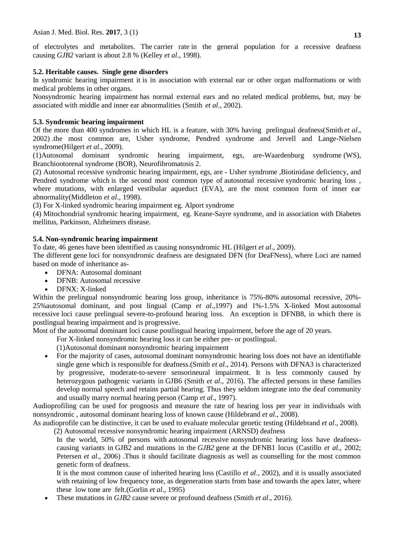of electrolytes and metabolites. The [carrier rate](http://www.ncbi.nlm.nih.gov/books/n/gene/glossary/def-item/carrier-rate/) in the general population for a recessive deafness causing *GJB2* variant is about 2.8 % (Kelley *et al*., 1998).

## **5.2. Heritable causes. Single gene disorders**

In syndromic hearing impairment it is in association with external ear or other organ malformations or with medical problems in other organs.

Nonsyndromic hearing impairment has normal external ears and no related medical problems, but, may be associated with middle and inner ear abnormalities [\(Smith](http://www.sciencedirect.com/science/article/pii/S0021992402000916) *et al*., 2002).

## **5.3. Syndromic hearing impairment**

Of the more than 400 syndromes in which HL is a feature, with 30% having prelingual deafness[\(Smith](http://www.sciencedirect.com/science/article/pii/S0021992402000916) *et al*., 2002) .the most common are, Usher syndrome, Pendred syndrome and Jervell and Lange-Nielsen syndrome(Hilgert *et al*., 2009).

(1)Autosomal dominant syndromic hearing impairment, egs, are**-**[Waardenburg syndrome](http://www.ncbi.nlm.nih.gov/books/n/gene/ws1/) (WS), [Branchiootorenal syndrome](http://www.ncbi.nlm.nih.gov/books/n/gene/bor/) (BOR), [Neurofibromatosis 2.](http://www.ncbi.nlm.nih.gov/books/n/gene/nf2/)

(2) Autosomal recessive syndromic hearing impairment, egs, are **-** Usher syndrome [,Biotinidase deficiency,](http://www.ncbi.nlm.nih.gov/books/n/gene/biotin/) and [Pendred syndrome](http://www.ncbi.nlm.nih.gov/books/n/gene/pendred/) which is the second most common type of [autosomal recessive](http://www.ncbi.nlm.nih.gov/books/n/gene/glossary/def-item/autosomal-recessive/) syndromic hearing loss, where mutations, with enlarged vestibular aqueduct (EVA), are the most common form of inner ear abnormality(Middleton *et al*., 1998).

(3) For X-linked syndromic hearing impairment eg. [Alport syndrome](http://www.ncbi.nlm.nih.gov/books/n/gene/alport/)

(4) Mitochondrial syndromic hearing impairment, eg. Keane-Sayre syndrome, and in association with Diabetes mellitus, Parkinson, Alzheimers disease.

#### **5.4. Non-syndromic hearing impairment**

To date, 46 genes have been identified as causing nonsyndromic HL (Hilgert *et al*., 2009).

The different [gene](http://www.ncbi.nlm.nih.gov/books/n/gene/glossary/def-item/gene/) loci for nonsyndromic deafness are designated DFN (for DeaFNess), where Loci are named based on [mode of inheritance](http://www.ncbi.nlm.nih.gov/books/n/gene/glossary/def-item/mode-of-inheritance/) as-

- DFNA: Autosomal [dominant](http://www.ncbi.nlm.nih.gov/books/n/gene/glossary/def-item/dominant/)
- **DFNB**: Autosomal [recessive](http://www.ncbi.nlm.nih.gov/books/n/gene/glossary/def-item/recessive/)
- DFNX: X-linked

Within the prelingual nonsyndromic hearing loss group, inheritance is 75%-80% [autosomal recessive,](http://www.ncbi.nlm.nih.gov/books/n/gene/glossary/def-item/autosomal-recessive/) 20%- 25[%autosomal dominant,](http://www.ncbi.nlm.nih.gov/books/n/gene/glossary/def-item/autosomal-dominant/) and post lingual (Camp *et al*.,1997) and 1%-1.5% X-linked Most [autosomal](http://www.ncbi.nlm.nih.gov/books/n/gene/glossary/def-item/autosomal-recessive/)  [recessive](http://www.ncbi.nlm.nih.gov/books/n/gene/glossary/def-item/autosomal-recessive/) loci cause prelingual severe-to-profound hearing loss. An exception is DFNB8, in which there is postlingual hearing impairment and is progressive.

Most of the [autosomal dominant](http://www.ncbi.nlm.nih.gov/books/n/gene/glossary/def-item/autosomal-dominant/) loci cause postlingual hearing impairment, before the age of 20 years.

For X-linked nonsyndromic hearing loss it can be either pre- or postlingual.

(1)Autosomal dominant nonsyndromic hearing impairment

 For the majority of cases, autosomal dominant nonsyndromic hearing loss does not have an identifiable single gene which is responsible for deafness.(Smith *et al*., 2014). Persons with [DFNA3](https://www.ncbi.nlm.nih.gov/books/n/gene/dfna3/) is characterized by progressive, moderate-to-severe sensorineural impairment. It is less commonly caused by heterozygous pathogenic variants in GJB6 (Smith *et al*., 2016). The affected persons in these families develop normal speech and retains partial hearing. Thus they seldom integrate into the deaf community and usually marry normal hearing person (Camp *et al*., 1997).

Audioprofiling can be used for prognosis and measure the rate of hearing loss per year in individuals with nonsyndromic , [autosomal dominant](http://www.ncbi.nlm.nih.gov/books/n/gene/glossary/def-item/autosomal-dominant/) hearing loss of known cause [\(Hildebrand](http://www.ncbi.nlm.nih.gov/books/NBK1434/) *et al*., 2008).

As audioprofile can be distinctive, it can be used to evaluate [molecular genetic testing](http://www.ncbi.nlm.nih.gov/books/n/gene/glossary/def-item/molecular-genetic-testing/) [\(Hildebrand](http://www.ncbi.nlm.nih.gov/books/NBK1434/) *et al*., 2008). (2) Autosomal recessive nonsyndromic hearing impairment (ARNSD) deafness

In the world, 50% of persons with [autosomal recessive](http://www.ncbi.nlm.nih.gov/books/n/gene/glossary/def-item/autosomal-recessive/) nonsyndromic hearing loss have deafnesscausing variants in GJB2 and mutations in the *GJB2* gene at the DFNB1 locus (Castillo *et al*., 2002; Petersen *et al*., 2006) .Thus it should facilitate diagnosis as well as counselling for the most common genetic form of deafness.

It is the most common cause of inherited hearing loss (Castillo *et al*., 2002), and it is usually associated with retaining of low frequency tone, as degeneration starts from base and towards the apex later, where these low tone are felt.(Gorlin *et al*., 1995)

These mutations in *GJB2* cause severe or profound deafness (Smith *et al*., 2016).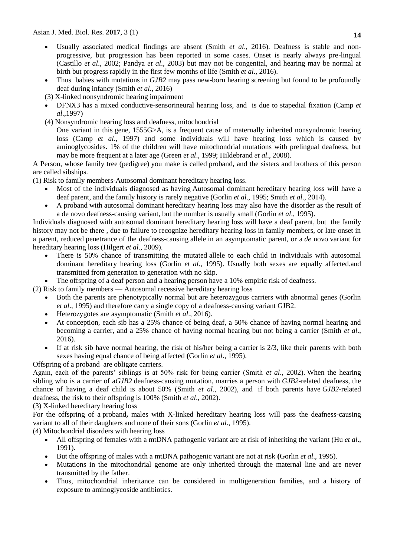- Usually associated medical findings are absent (Smith *et al*., 2016). Deafness is stable and nonprogressive, but progression has been reported in some cases. Onset is nearly always pre-lingual (Castillo *et al*., 2002; Pandya *et al*., 2003) but may not be congenital, and hearing may be normal at birth but progress rapidly in the first few months of life (Smith *et al*., 2016).
- Thus babies with mutations in *GJB2* may pass new-born hearing screening but found to be profoundly deaf during infancy (Smith *et al*., 2016)
- (3) X-linked nonsyndromic hearing impairment
- DFNX3 has a mixed conductive-sensorineural hearing loss, and is due to stapedial fixation [\(Camp](https://www.ncbi.nlm.nih.gov/pubmed/?term=Van%20Camp%20G%5BAuthor%5D&cauthor=true&cauthor_uid=9106521) *et al*.,1997)
- (4) Nonsyndromic hearing loss and deafness, mitochondrial

One variant in this [gene,](http://www.ncbi.nlm.nih.gov/books/n/gene/glossary/def-item/gene/) 1555G>A, is a frequent cause of maternally inherited nonsyndromic hearing loss [\(Camp](https://www.ncbi.nlm.nih.gov/pubmed/?term=Van%20Camp%20G%5BAuthor%5D&cauthor=true&cauthor_uid=9106521) *et al*., 1997) and some individuals will have hearing loss which is caused by aminoglycosides. 1% of the children will have mitochondrial mutations with prelingual deafness, but may be more frequent at a later age (Green *et al*., 1999; [Hildebrand](http://www.ncbi.nlm.nih.gov/books/NBK1434/) *et al*., 2008).

A Person, whose family tree (pedigree) you make is called proband, and the sisters and brothers of this person are called sibships.

- (1) Risk to family members-Autosomal dominant hereditary hearing loss.
	- Most of the individuals diagnosed as having [Autosomal dominant](http://www.ncbi.nlm.nih.gov/books/n/gene/glossary/def-item/autosomal-dominant/) hereditary hearing loss will have a deaf parent, and the [family history](http://www.ncbi.nlm.nih.gov/books/n/gene/glossary/def-item/family-history/) is rarely negative (Gorlin *et al*., 1995; Smith *et al*., 2014).
	- A [proband](http://www.ncbi.nlm.nih.gov/books/n/gene/glossary/def-item/proband/) with [autosomal dominant](http://www.ncbi.nlm.nih.gov/books/n/gene/glossary/def-item/autosomal-dominant/) hereditary hearing loss may also have the disorder as the result of a de novo deafness-causing variant, but the number is usually small (Gorlin *et al*., 1995).

Individuals diagnosed with [autosomal dominant](http://www.ncbi.nlm.nih.gov/books/n/gene/glossary/def-item/autosomal-dominant/) hereditary hearing loss will have a deaf parent, but the [family](http://www.ncbi.nlm.nih.gov/books/n/gene/glossary/def-item/family-history/)  [history](http://www.ncbi.nlm.nih.gov/books/n/gene/glossary/def-item/family-history/) may not be there , due to failure to recognize hereditary hearing loss in family members, or late onset in a parent, reduced [penetrance](http://www.ncbi.nlm.nih.gov/books/n/gene/glossary/def-item/penetrance/) of the deafness-causing [allele](http://www.ncbi.nlm.nih.gov/books/n/gene/glossary/def-item/allele/) in an asymptomatic parent, or a *de* novo variant for hereditary hearing loss (Hilgert *et al*., 2009).

- There is 50% chance of transmitting the mutated [allele](http://www.ncbi.nlm.nih.gov/books/n/gene/glossary/def-item/allele/) to each child in individuals with autosomal dominant hereditary hearing loss (Gorlin *et al*., 1995). Usually both sexes are equally affected.and transmitted from generation to generation with no skip.
- The offspring of a deaf person and a hearing person have a 10% empiric risk of deafness.

(2) Risk to family members — Autosomal recessive hereditary hearing loss

- Both the parents are phenotypically normal but are heterozygous carriers with abnormal genes (Gorlin *et al*., 1995) and therefore carry a single copy of a deafness-causing variant GJB2.
- Heterozygotes are asymptomatic (Smith *et al*., 2016).
- At conception, each sib has a 25% chance of being deaf, a 50% chance of having normal hearing and becoming a [carrier,](http://www.ncbi.nlm.nih.gov/books/n/gene/glossary/def-item/carrier/) and a 25% chance of having normal hearing but not being a carrier (Smith *et al*., 2016).
- If at risk sib have normal hearing, the risk of his/her being a [carrier](http://www.ncbi.nlm.nih.gov/books/n/gene/glossary/def-item/carrier/) is  $2/3$ , like their parents with both sexes having equal chance of being affected **(**Gorlin *et al*., 1995).

Offspring of a [proband](http://www.ncbi.nlm.nih.gov/books/n/gene/glossary/def-item/proband/) are obligate carriers.

Again, each of the parents' siblings is at 50% risk for being carrier (Smith *et al*., 2002). When the hearing sibling who is a carrier of a*GJB2* deafness-causing mutation, marries a person with *GJB2-*related deafness, the chance of having a deaf child is about 50% (Smith *et al*., 2002), and if both parents have *GJB2-*related deafness, the risk to their offspring is 100% (Smith *et al*., 2002).

(3) X-linked hereditary hearing loss

For the offspring of a [proband](https://www.ncbi.nlm.nih.gov/books/n/gene/glossary/def-item/proband/)**,** males with X-linked hereditary hearing loss will pass the deafness-causing variant to all of their daughters and none of their sons (Gorlin *et al*., 1995).

(4) Mitochondrial disorders with hearing loss

- All offspring of females with a mtDNA pathogenic variant are at risk of inheriting the variant (Hu *et al*., 1991).
- But the offspring of males with a mtDNA pathogenic variant are not at risk **(**Gorlin *et al*., 1995).
- Mutations in the mitochondrial genome are only inherited through the maternal line and are never transmitted by the father.
- Thus, mitochondrial inheritance can be considered in multigeneration families, and a history of exposure to aminoglycoside antibiotics.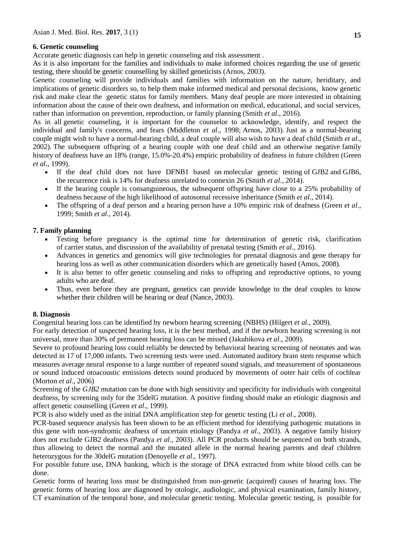## **6. Genetic counseling**

Accurate genetic diagnosis can help in genetic counseling and [risk assessment](http://www.ncbi.nlm.nih.gov/books/n/gene/glossary/def-item/risk-assessment/) .

As it is also important for the families and individuals to make informed choices regarding the use of genetic testing, there should be genetic counselling by skilled geneticists (Arnos, 2003).

Genetic counseling will provide individuals and families with information on the nature, heriditary, and implications of genetic disorders so, to help them make informed medical and personal decisions, know genetic risk and make clear the genetic status for family members. Many deaf people are more interested in obtaining information about the cause of their own deafness, and information on medical, educational, and social services, rather than information on prevention, reproduction, or family planning (Smith *et al*., 2016).

As in all [genetic counseling,](http://www.ncbi.nlm.nih.gov/books/n/gene/glossary/def-item/genetic-counseling/) it is important for the counselor to acknowledge, identify, and respect the individual and family's concerns, and fears [\(Middleton](http://www.ncbi.nlm.nih.gov/books/NBK1434/) *et al*., 1998; [Arnos, 2003\)](http://www.ncbi.nlm.nih.gov/books/NBK1434/). Just as a normal-hearing couple might wish to have a normal-hearing child, a deaf couple will also wish to have a deaf child (Smith *et al*., 2002). The subsequent offspring of a hearing couple with one deaf child and an otherwise negative [family](https://www.ncbi.nlm.nih.gov/books/n/gene/glossary/def-item/family-history/)  [history](https://www.ncbi.nlm.nih.gov/books/n/gene/glossary/def-item/family-history/) of deafness have an 18% (range, 15.0%-20.4%) empiric probability of deafness in future children [\(Green](https://www.ncbi.nlm.nih.gov/books/NBK1434/)  *et al*[., 1999\)](https://www.ncbi.nlm.nih.gov/books/NBK1434/).

- If the deaf child does not have DFNB1 based on [molecular genetic testing](https://www.ncbi.nlm.nih.gov/books/n/gene/glossary/def-item/molecular-genetic-testing/) of GJB2 and GJB6, the [recurrence risk](https://www.ncbi.nlm.nih.gov/books/n/gene/glossary/def-item/recurrence-risk/) is 14% for deafness unrelated to connexin 26 (Smith *et al*., 2014).
- If the hearing couple is consanguineous, the subsequent offspring have close to a 25% probability of deafness because of the high likelihood of [autosomal recessive](https://www.ncbi.nlm.nih.gov/books/n/gene/glossary/def-item/autosomal-recessive/) inheritance (Smith *et al*., 2014).
- The offspring of a deaf person and a hearing person have a 10% empiric risk of deafness [\(Green](https://www.ncbi.nlm.nih.gov/books/NBK1434/) *et al*., [1999;](https://www.ncbi.nlm.nih.gov/books/NBK1434/) Smith *et al*., 2014).

## **7. Family planning**

- Testing before pregnancy is the optimal time for determination of genetic risk, clarification of [carrier](http://www.ncbi.nlm.nih.gov/books/n/gene/glossary/def-item/carrier/) status, and discussion of the availability of prenatal testing (Smith *et al*., 2016).
- Advances in genetics and genomics will give technologies for prenatal diagnosis and gene therapy for hearing loss as well as other communication disorders which are genetically based (Amos, 2008).
- It is also better to offer [genetic counseling](http://www.ncbi.nlm.nih.gov/books/n/gene/glossary/def-item/genetic-counseling/) and risks to offspring and reproductive options, to young adults who are deaf.
- Thus, even before they are pregnant, genetics can provide knowledge to the deaf couples to know whether their children will be hearing or deaf (Nance, 2003).

#### **8. Diagnosis**

Congenital hearing loss can be identified by newborn hearing [screening](https://www.ncbi.nlm.nih.gov/books/n/gene/glossary/def-item/screening/) (NBHS) (Hilgert *et al*., 2009).

For early detection of suspected hearing loss, it is the best method, and if the newborn hearing screening is not universal, more than 30% of permanent hearing loss can be missed (Jakubikova *et al*., 2009).

Severe to profound hearing loss could reliably be detected by behavioral hearing screening of neonates and was detected in 17 of 17,000 infants. Two screening tests were used. Automated auditory brain stem response which measures average neural response to a large number of repeated sound signals, and measurement of spontaneous or sound induced otoacoustic emissions detects sound produced by movements of outer hair cells of cochlear (Morton *et al*., 2006)

Screening of the *GJB2* mutation can be done with high sensitivity and specificity for individuals with congenital deafness, by screening only for the 35delG mutation. A positive finding should make an etiologic diagnosis and affect genetic counselling (Green *et al*[., 1999\)](https://www.ncbi.nlm.nih.gov/books/NBK1434/).

PCR is also widely used as the initial DNA amplification step for genetic testing (Li *et al*., 2008).

PCR-based sequence analysis has been shown to be an efficient method for identifying pathogenic mutations in this gene with non-syndromic deafness of uncertain etiology (Pandya *et al*., 2003). A negative family history does not exclude GJB2 deafness (Pandya *et al*., 2003). All PCR products should be sequenced on both strands, thus allowing to detect the normal and the mutated allele in the normal hearing parents and deaf children heterozygous for the 30delG mutation (Denoyelle *et al*., 1997).

For possible future use, [DNA banking,](https://www.ncbi.nlm.nih.gov/books/n/gene/glossary/def-item/dna-banking/) which is the storage of DNA extracted from white blood cells can be done.

Genetic forms of hearing loss must be distinguished from non-genetic (acquired) causes of hearing loss. The genetic forms of hearing loss are diagnosed by otologic, audiologic, and physical examination, [family history,](http://www.ncbi.nlm.nih.gov/books/n/gene/glossary/def-item/family-history/) CT examination of the temporal bone, and [molecular genetic testing.](http://www.ncbi.nlm.nih.gov/books/n/gene/glossary/def-item/molecular-genetic-testing/) Molecular genetic testing, is possible for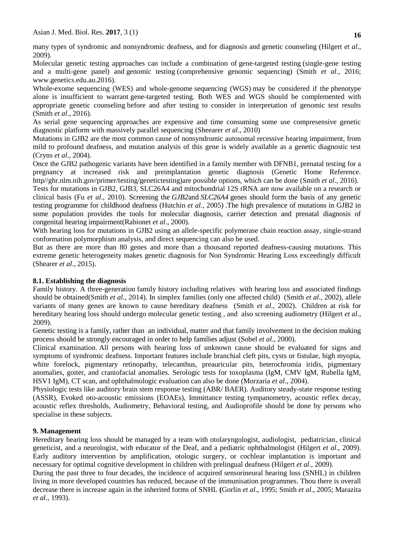many types of syndromic and nonsyndromic deafness, and for diagnosis and [genetic counseling](http://www.ncbi.nlm.nih.gov/books/n/gene/glossary/def-item/genetic-counseling/) (Hilgert *et al*., 2009).

Molecular genetic testing approaches can include a combination of [gene-](https://www.ncbi.nlm.nih.gov/books/n/gene/glossary/def-item/gene/)targeted testing (single-gene testing and a multi-gene panel) and genomic testing (comprehensive genomic sequencing) (Smith *et al*., 2016; www.genetics.edu.au.2016).

Whole-exome sequencing (WES) and whole[-genome](https://www.ncbi.nlm.nih.gov/books/n/gene/glossary/def-item/genome/) sequencing (WGS) may be considered if the [phenotype](https://www.ncbi.nlm.nih.gov/books/n/gene/glossary/def-item/phenotype/) alone is insufficient to warrant [gene-](https://www.ncbi.nlm.nih.gov/books/n/gene/glossary/def-item/gene/)targeted testing. Both WES and WGS should be complemented with appropriate [genetic counseling](https://www.ncbi.nlm.nih.gov/books/n/gene/glossary/def-item/genetic-counseling/) before and after testing to consider in interpretation of genomic test results (Smith *et al*., 2016).

As serial gene sequencing approaches are expensive and time consuming some use compresensive genetic diagnostic platform with massively parallel sequencing (Sheearer *et al*., 2010)

Mutations in GJB2 are the most common cause of nonsyndromic autosomal recessive hearing impairment, from mild to profound deafness, and mutation analysis of this gene is widely available as a genetic diagnostic test (Cryns *et al*., 2004).

Once the GJB2 pathogenic variants have been identified in a family member with DFNB1, prenatal testing for a pregnancy at increased risk and preimplantation genetic diagnosis (Genetic Home Reference. http//ghr.nlm.nih.gov/primer/testing/genetictesting)are possible options, which can be done (Smith *et al*., 2016).

Tests for mutations in GJB2, GJB3, SLC26A4 and mitochondrial 12S rRNA are now available on a research or clinical basis (Fu *et al*., 2010). Screening the *GJB2*and *SLC26A4* genes should form the basis of any genetic testing programme for childhood deafness (Hutchin *et al*., 2005) .The high prevalence of mutations in GJB2 in some population provides the tools for molecular diagnosis, carrier detection and prenatal diagnosis of congenital hearing impairment(Rabionet *et al*., 2000).

With hearing loss for mutations in GJB2 using an allele-specific polymerase chain reaction assay, single-strand conformation polymorphism analysis, and direct sequencing can also be used.

But as there are more than 80 genes and more than a thousand reported deafness-causing mutations. This extreme genetic heterogeneity makes genetic diagnosis for Non Syndromic Hearing Loss exceedingly difficult (Shearer *et al*., 2015).

### **8.1. Establishing the diagnosis**

Family history. A three-generation [family history](https://www.ncbi.nlm.nih.gov/books/n/gene/glossary/def-item/family-history/) including relatives with hearing loss and associated findings should be obtained(Smith *et al*., 2014). In simplex families (only one affected child) (Smith *et al*., 2002), allele variants of many genes are known to cause hereditary deafness (Smith *et al*., 2002). Children at risk for hereditary hearing loss should undergo [molecular genetic testing](https://www.ncbi.nlm.nih.gov/books/n/gene/glossary/def-item/molecular-genetic-testing/) , and also [screening](https://www.ncbi.nlm.nih.gov/books/n/gene/glossary/def-item/screening/) audiometry (Hilgert *et al*., 2009).

Genetic testing is a family, rather than an individual, matter and that family involvement in the decision making process should be strongly encouraged in order to help families adjust (Sobel *et al*., 2000).

Clinical examination. All persons with hearing loss of unknown cause should be evaluated for signs and symptoms of syndromic deafness. Important features include branchial cleft pits, cysts or fistulae, high myopia, white forelock, pigmentary retinopathy, telecanthus, preauricular pits, heterochromia iridis, pigmentary anomalies, goiter, and craniofacial anomalies. Serologic tests for toxoplasma (IgM, CMV IgM, Rubella IgM, HSV1 IgM), CT scan, and ophthalmologic evaluation can also be done (Morzaria *et al*., 2004).

Physiologic tests like auditory brain stem response testing (ABR/ BAER). Auditory steady-state response testing (ASSR), Evoked oto-acoustic emissions (EOAEs), Immittance testing tympanometry, acoustic reflex decay, acoustic reflex thresholds, Audiometry, Behavioral testing, and Audioprofile should be done by persons who specialise in these subjects.

#### **9. Management**

Hereditary hearing loss should be managed by a team with otolaryngologist, audiologist, pediatrician, clinical geneticist, and a neurologist, with educator of the Deaf, and a pediatric ophthalmologist (Hilgert *et al*., 2009). Early auditory intervention by amplification, otologic surgery, or cochlear implantation is important and necessary for optimal cognitive development in children with prelingual deafness (Hilgert *et al*., 2009).

During the past three to four decades, the incidence of acquired sensorineural hearing loss (SNHL) in children living in more developed countries has reduced, because of the immunisation programmes. Thou there is overall decrease there is increase again in the inherited forms of SNHL **(**Gorlin *et al*., 1995; Smith *et al*., 2005; Marazita *et al*., 1993).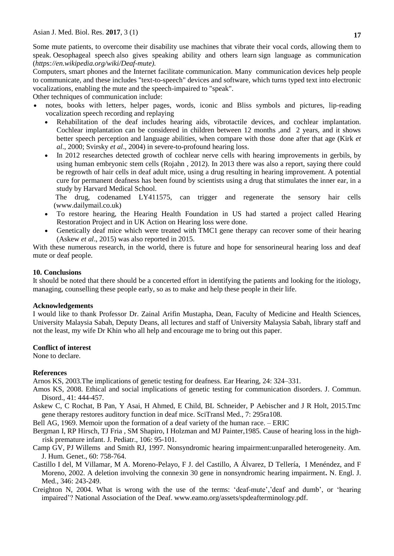Some mute patients, to overcome their disability use machines that vibrate their vocal cords, allowing them to speak. [Oesophageal speech](https://en.wikipedia.org/wiki/Oesophageal_speech) also gives speaking ability and others learn [sign language](https://en.wikipedia.org/wiki/Sign_language) as communication (*https://en.wikipedia.org/wiki/Deaf-mute).*

Computers, smart phones and the Internet facilitate communication. Many [communication](https://en.wikipedia.org/wiki/Augmentative_and_alternative_communication) devices help people to communicate, and these includes "text-to-speech" devices and software, which turns typed text into electronic vocalizations, enabling the mute and the speech-impaired to "speak".

Other techniques of communication include:

- notes, books with letters, helper pages, words, iconic and Bliss symbols and pictures, lip-reading vocalization speech recording and replaying
	- Rehabilitation of the deaf includes hearing aids, vibrotactile devices, and cochlear implantation. Cochlear implantation can be considered in children between 12 months ,and 2 years, and it shows better speech perception and language abilities, when compare with those done after that age (Kirk *et al*., 2000; Svirsky *et al*., 2004) in severe-to-profound hearing loss.
	- In 2012 researches detected growth of cochlear nerve cells with hearing improvements in gerbils, by using human embryonic stem cells [\(Rojahn](https://www.technologyreview.com/profile/susan-young-rojahn/) , 2012). In 2013 there was also a report, saying there could be regrowth of hair cells in deaf adult mice, using a drug resulting in hearing improvement. A potential cure for permanent deafness has been found by scientists using a drug that stimulates the inner ear, in a study by Harvard Medical School.

The drug, codenamed LY411575, can trigger and regenerate the sensory hair cells (www.dailymail.co.uk)

- To restore hearing, the Hearing Health Foundation in US had started a project called Hearing Restoration Project and in UK Action on Hearing loss were done.
- Genetically deaf mice which were treated with [TMC1](https://en.wikipedia.org/wiki/TMC1) gene therapy can recover some of their hearing (Askew *et al*., 2015) was also reported in 2015.

With these numerous research, in the world, there is future and hope for sensorineural hearing loss and deaf mute or deaf people.

#### **10. Conclusions**

It should be noted that there should be a concerted effort in identifying the patients and looking for the itiology, managing, counselling these people early, so as to make and help these people in their life.

#### **Acknowledgements**

I would like to thank Professor Dr. Zainal Arifin Mustapha, Dean, Faculty of Medicine and Health Sciences, University Malaysia Sabah, Deputy Deans, all lectures and staff of University Malaysia Sabah, library staff and not the least, my wife Dr Khin who all help and encourage me to bring out this paper.

#### **Conflict of interest**

None to declare.

#### **References**

Arnos KS, 2003.The implications of genetic testing for deafness. Ear Hearing, 24: 324–331.

- Amos KS, 2008. Ethical and social implications of genetic testing for communication disorders. J. Commun. Disord., 41: 444-457.
- Askew C, C Rochat, B Pan, Y Asai, H Ahmed, E Child, BL Schneider, P Aebischer and J R Holt, 2015.Tmc gene therapy restores auditory function in deaf mice. SciTransl Med., 7: 295ra108.
- Bell AG, 1969. Memoir upon the formation of a deaf variety of the human race. ERIC
- [Bergman I,](https://www.ncbi.nlm.nih.gov/pubmed/?term=Bergman%20I%5BAuthor%5D&cauthor=true&cauthor_uid=3965686) RP [Hirsch,](https://www.ncbi.nlm.nih.gov/pubmed/?term=Hirsch%20RP%5BAuthor%5D&cauthor=true&cauthor_uid=3965686) TJ [Fria ,](https://www.ncbi.nlm.nih.gov/pubmed/?term=Fria%20TJ%5BAuthor%5D&cauthor=true&cauthor_uid=3965686) SM [Shapiro,](https://www.ncbi.nlm.nih.gov/pubmed/?term=Shapiro%20SM%5BAuthor%5D&cauthor=true&cauthor_uid=3965686) I [Holzman](https://www.ncbi.nlm.nih.gov/pubmed/?term=Holzman%20I%5BAuthor%5D&cauthor=true&cauthor_uid=3965686) and MJ [Painter,1](https://www.ncbi.nlm.nih.gov/pubmed/?term=Painter%20MJ%5BAuthor%5D&cauthor=true&cauthor_uid=3965686)985. Cause of hearing loss in the highrisk premature infant. [J. Pediatr.,](https://www.ncbi.nlm.nih.gov/pubmed/3965686) 106: 95-101.
- Camp GV, PJ Willems and Smith RJ, 1997. Nonsyndromic hearing impairment:unparalled heterogeneity. Am. J. Hum. Genet., 60: 758-764.
- Castillo I del, M Villamar, M A. Moreno-Pelayo, F J. del Castillo, A Álvarez, D Tellería, I Menéndez, and F Moreno, 2002. A deletion involving the connexin 30 gene in nonsyndromic hearing impairment**.** N. Engl. J. Med., 346: 243-249.
- Creighton N, 2004. What is wrong with the use of the terms: 'deaf-mute','deaf and dumb', or 'hearing impaired'? National Association of the Deaf. www.eamo.org/assets/spdeafterminology.pdf.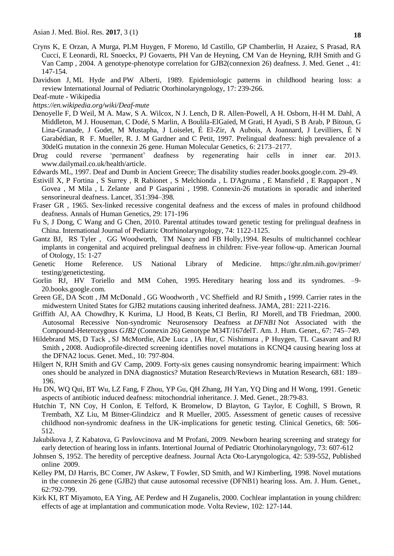- Cryns K, E Orzan, A Murga, PLM Huygen, F Moreno, Id Castillo, GP Chamberlin, H Azaiez, S Prasad, RA Cucci, E Leonardi, RL Snoeckx, PJ Govaerts, PH Van de Heyning, CM Van de Heyning, RJH Smith and G Van Camp , 2004. A genotype-phenotype correlation for GJB2(connexion 26) deafness. J. Med. Genet ., 41: 147-154.
- [Davidson](http://www.sciencedirect.com/science/article/pii/0165587689900517) J, [ML Hyde](http://www.sciencedirect.com/science/article/pii/0165587689900517) and [PW Alberti,](http://www.sciencedirect.com/science/article/pii/0165587689900517) 1989. Epidemiologic patterns in childhood hearing loss: a review [International Journal of Pediatric Otorhinolaryngology,](http://www.sciencedirect.com/science/journal/01655876) 17: 239-266.
- [Deaf-mute -](https://www.google.com/url?sa=t&rct=j&q=&esrc=s&source=web&cd=2&cad=rja&uact=8&ved=0ahUKEwjT4-_livXPAhXBO48KHdrFDTQQFggnMAE&url=https%3A%2F%2Fen.wikipedia.org%2Fwiki%2FDeaf-mute&usg=AFQjCNGDgUPeax5Wcj60yAu_BocH4buB8Q) Wikipedia
- *https://en.wikipedia.org/wiki/Deaf-mute*
- Denoyelle F, D Weil, M A. Maw, S A. Wilcox, N J. Lench, D R. Allen-Powell, A H. Osborn, H-H M. Dahl, A Middleton, M J. Houseman, C Dodé, S Marlin, A Boulila-ElGaïed, M Grati, H Ayadi, S B Arab, P Bitoun, G Lina-Granade, J Godet, M Mustapha, J Loiselet, É El-Zir, A Aubois, A Joannard, J Levilliers, É N Garabédian, R F. Mueller, R. J. M Gardner and C Petit, 1997. Prelingual deafness: high prevalence of a 30delG mutation in the connexin 26 gene. Human Molecular Genetics, 6: 2173–2177.
- Drug could reverse 'permanent' deafness by regenerating hair cells in inner ear. 2013. www.dailymail.co.uk/health/article.
- Edwards ML, 1997. Deaf and Dumb in Ancient Greece; The disability studies reader.books.google.com. 29-49.
- Estivill X, P Fortina , S Surrey , R Rabionet , S Melchionda , L D'Agruma , E Mansfield , E Rappaport , N Govea , M Mila , L Zelante and P Gasparini , 1998. Connexin-26 mutations in sporadic and inherited sensorineural deafness. Lancet, 351:394–398.
- Fraser GR , 1965. Sex-linked recessive congenital deafness and the excess of males in profound childhood deafness. Annals of Human Genetics, 29: 171-196
- Fu S, J Dong, C Wang and G Chen, 2010. Parental attitudes toward genetic testing for prelingual deafness in China. International Journal of Pediatric Otorhinolaryngology, 74: 1122-1125.
- Gantz BJ, RS Tyler , GG Woodworth, TM Nancy and FB Holly,1994. Results of multichannel cochlear implants in congenital and acquired prelingual deafness in children: Five-year follow-up. American Journal of Otology, 15: 1-27
- Genetic Home Reference. US National Library of Medicine. https://ghr.nlm.nih.gov/primer/ testing/genetictesting.
- Gorlin RJ, HV Toriello and MM Cohen, 1995. [Hereditary hearing loss](https://books.google.com/books?hl=en&lr=&id=xwA6DDbXEhgC&oi=fnd&pg=PR27&dq=heridatary+hearing+loss&ots=DtXKqiXJkM&sig=jMjqK1kzkQwg7rzm2_x1ONhVN3c) and its syndromes.  $-9-$ 20.books.google.com.
- [Green GE,](https://www.ncbi.nlm.nih.gov/pubmed/?term=Green%20GE%5BAuthor%5D&cauthor=true&cauthor_uid=10376574) DA [Scott ,](https://www.ncbi.nlm.nih.gov/pubmed/?term=Scott%20DA%5BAuthor%5D&cauthor=true&cauthor_uid=10376574) JM [McDonald ,](https://www.ncbi.nlm.nih.gov/pubmed/?term=McDonald%20JM%5BAuthor%5D&cauthor=true&cauthor_uid=10376574) GG [Woodworth](https://www.ncbi.nlm.nih.gov/pubmed/?term=Woodworth%20GG%5BAuthor%5D&cauthor=true&cauthor_uid=10376574) , VC [Sheffield](https://www.ncbi.nlm.nih.gov/pubmed/?term=Sheffield%20VC%5BAuthor%5D&cauthor=true&cauthor_uid=10376574) and RJ [Smith](https://www.ncbi.nlm.nih.gov/pubmed/?term=Smith%20RJ%5BAuthor%5D&cauthor=true&cauthor_uid=10376574) **,** 1999. Carrier rates in the midwestern United States for GJB2 mutations causing inherited deafness. JAMA, 281: 2211-2216.
- [Griffith](https://www.ncbi.nlm.nih.gov/pubmed/?term=Griffith%20AJ%5BAuthor%5D&cauthor=true&cauthor_uid=10903123) AJ, [AA Chowdhry,](https://www.ncbi.nlm.nih.gov/pubmed/?term=Chowdhry%20AA%5BAuthor%5D&cauthor=true&cauthor_uid=10903123) [K Kurima,](https://www.ncbi.nlm.nih.gov/pubmed/?term=Kurima%20K%5BAuthor%5D&cauthor=true&cauthor_uid=10903123) [LJ Hood,](https://www.ncbi.nlm.nih.gov/pubmed/?term=Hood%20LJ%5BAuthor%5D&cauthor=true&cauthor_uid=10903123) [B Keats,](https://www.ncbi.nlm.nih.gov/pubmed/?term=Keats%20B%5BAuthor%5D&cauthor=true&cauthor_uid=10903123) [CI Berlin,](https://www.ncbi.nlm.nih.gov/pubmed/?term=Berlin%20CI%5BAuthor%5D&cauthor=true&cauthor_uid=10903123) [RJ Morell,](https://www.ncbi.nlm.nih.gov/pubmed/?term=Morell%20RJ%5BAuthor%5D&cauthor=true&cauthor_uid=10903123) and [TB Friedman,](https://www.ncbi.nlm.nih.gov/pubmed/?term=Friedman%20TB%5BAuthor%5D&cauthor=true&cauthor_uid=10903123) 2000. Autosomal Recessive Non-syndromic Neurosensory Deafness at *DFNB1* Not Associated with the Compound-Heterozygous *GJB2* (Connexin 26) Genotype M34T/167delT. [Am. J. Hum. Genet.](https://www.ncbi.nlm.nih.gov/pmc/articles/PMC1287533/), 67: 745–749.
- [Hildebrand MS,](https://www.ncbi.nlm.nih.gov/pubmed/?term=Hildebrand%20MS%5BAuthor%5D&cauthor=true&cauthor_uid=18941426) D [Tack ,](https://www.ncbi.nlm.nih.gov/pubmed/?term=Tack%20D%5BAuthor%5D&cauthor=true&cauthor_uid=18941426) SJ [McMordie,](https://www.ncbi.nlm.nih.gov/pubmed/?term=McMordie%20SJ%5BAuthor%5D&cauthor=true&cauthor_uid=18941426) [ADe Luca ,](https://www.ncbi.nlm.nih.gov/pubmed/?term=DeLuca%20A%5BAuthor%5D&cauthor=true&cauthor_uid=18941426) IA [Hur,](https://www.ncbi.nlm.nih.gov/pubmed/?term=Hur%20IA%5BAuthor%5D&cauthor=true&cauthor_uid=18941426) C [Nishimura ,](https://www.ncbi.nlm.nih.gov/pubmed/?term=Nishimura%20C%5BAuthor%5D&cauthor=true&cauthor_uid=18941426) P [Huygen,](https://www.ncbi.nlm.nih.gov/pubmed/?term=Huygen%20P%5BAuthor%5D&cauthor=true&cauthor_uid=18941426) TL [Casavant](https://www.ncbi.nlm.nih.gov/pubmed/?term=Casavant%20TL%5BAuthor%5D&cauthor=true&cauthor_uid=18941426) and RJ [Smith](https://www.ncbi.nlm.nih.gov/pubmed/?term=Smith%20RJ%5BAuthor%5D&cauthor=true&cauthor_uid=18941426) **,** 2008. Audioprofile-directed screening identifies novel mutations in KCNQ4 causing hearing loss at the DFNA2 locus. Genet. Med., 10: 797-804.
- [Hilgert](http://www.sciencedirect.com/science/article/pii/S138357420800135X) N, RJH [Smith](http://www.sciencedirect.com/science/article/pii/S138357420800135X) and GV [Camp,](http://www.sciencedirect.com/science/article/pii/S138357420800135X) 2009. Forty-six genes causing nonsyndromic hearing impairment: Which ones should be analyzed in DNA diagnostics? Mutation [Research/Reviews](http://www.sciencedirect.com/science/journal/13835742) in Mutation Research, 681: 189– 196.
- Hu DN, WQ Qui, BT Wu, LZ Fang, F Zhou, YP Gu, QH Zhang, JH Yan, YQ Ding and H Wong, 1991. Genetic aspects of antibiotic induced deafness: mitochondrial inheritance. J. Med. Genet., 28:79-83.
- Hutchin T, NN Coy, H Conlon, E Telford, K Bromelow, D Blayton, G Taylor, E Coghill, S Brown, R Trembath, XZ Liu, M Bitner-Glindzicz and R Mueller, 2005. Assessment of genetic causes of recessive childhood non-syndromic deafness in the UK-implications for genetic testing. Clinical Genetics, 68: 506- 512.
- Jakubikova J, Z Kabatova, G Pavlovcinova and M Profani, 2009. Newborn hearing screening and strategy for early detection of hearing loss in infants. Intertional Journal of Pediatric Otorhinolaryngology, 73: 607-612
- Johnsen S, 1952. The heredity of perceptive deafness. Journal Acta Oto-Laryngologica, 42: 539-552, Published online 2009.
- Kelley PM, DJ Harris, BC Comer, JW Askew, T Fowler, SD Smith, and WJ Kimberling, 1998. Novel mutations in the connexin 26 gene (GJB2) that cause autosomal recessive (DFNB1) hearing loss. Am. J. Hum. Genet., 62:792-799.
- Kirk KI, RT Miyamoto, EA Ying, AE Perdew and H Zuganelis, 2000. Cochlear implantation in young children: effects of age at implantation and communication mode. Volta Review, 102: 127-144.